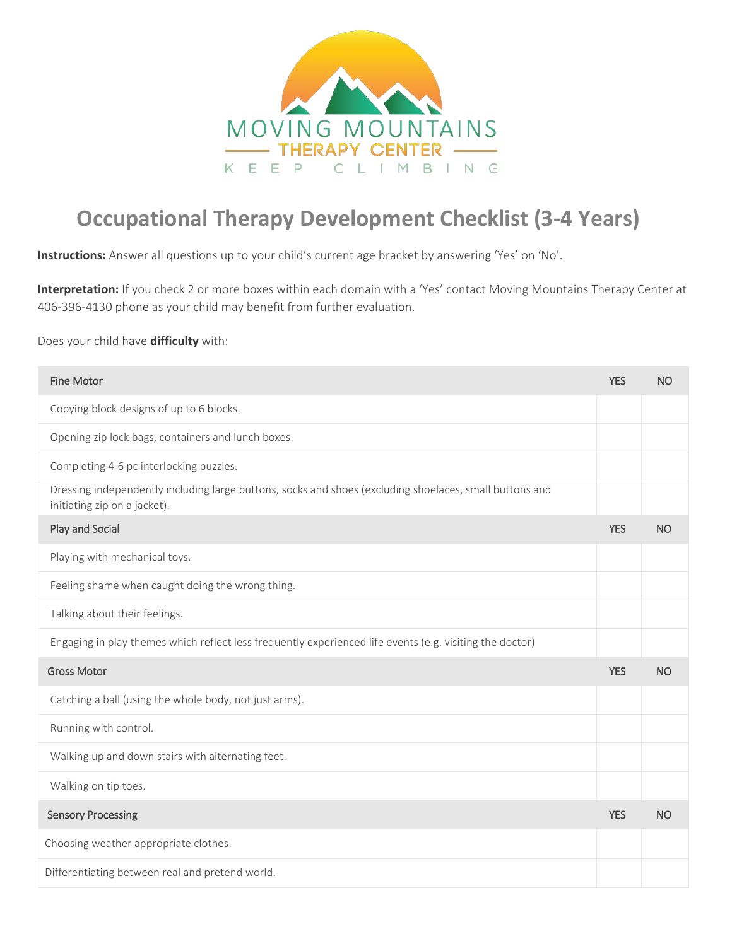

## **Occupational Therapy Development Checklist (3-4 Years)**

**Instructions:** Answer all questions up to your child's current age bracket by answering 'Yes' on 'No'.

**Interpretation:** If you check 2 or more boxes within each domain with a 'Yes' contact Moving Mountains Therapy Center at 406-396-4130 phone as your child may benefit from further evaluation.

Does your child have **difficulty** with:

| <b>Fine Motor</b>                                                                                                                       | <b>YES</b> | <b>NO</b> |
|-----------------------------------------------------------------------------------------------------------------------------------------|------------|-----------|
| Copying block designs of up to 6 blocks.                                                                                                |            |           |
| Opening zip lock bags, containers and lunch boxes.                                                                                      |            |           |
| Completing 4-6 pc interlocking puzzles.                                                                                                 |            |           |
| Dressing independently including large buttons, socks and shoes (excluding shoelaces, small buttons and<br>initiating zip on a jacket). |            |           |
| Play and Social                                                                                                                         | <b>YES</b> | <b>NO</b> |
| Playing with mechanical toys.                                                                                                           |            |           |
| Feeling shame when caught doing the wrong thing.                                                                                        |            |           |
| Talking about their feelings.                                                                                                           |            |           |
| Engaging in play themes which reflect less frequently experienced life events (e.g. visiting the doctor)                                |            |           |
| <b>Gross Motor</b>                                                                                                                      | <b>YES</b> | <b>NO</b> |
| Catching a ball (using the whole body, not just arms).                                                                                  |            |           |
| Running with control.                                                                                                                   |            |           |
| Walking up and down stairs with alternating feet.                                                                                       |            |           |
| Walking on tip toes.                                                                                                                    |            |           |
| <b>Sensory Processing</b>                                                                                                               | <b>YES</b> | <b>NO</b> |
| Choosing weather appropriate clothes.                                                                                                   |            |           |
| Differentiating between real and pretend world.                                                                                         |            |           |